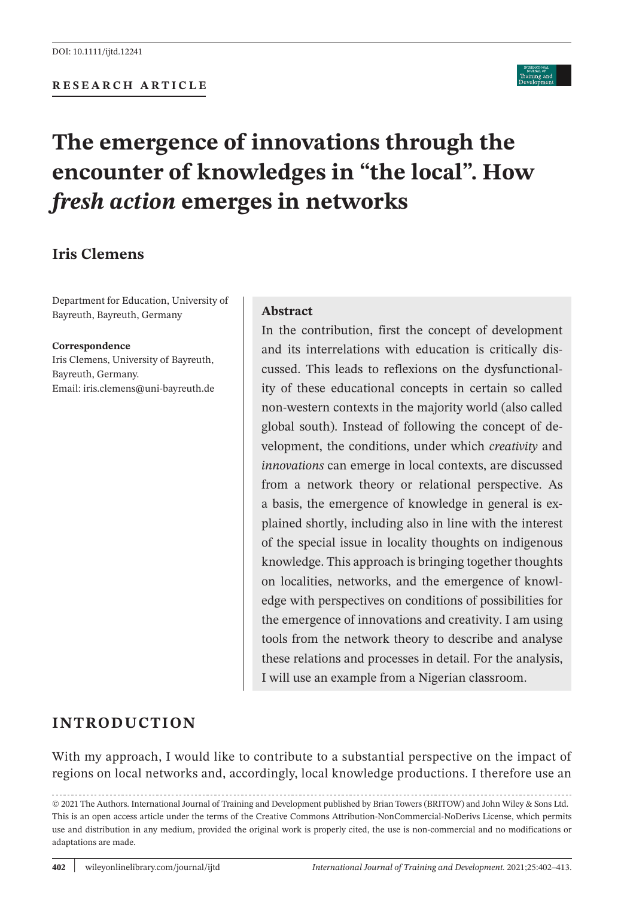### **RESEARCH ARTICLE**

# **The emergence of innovations through the encounter of knowledges in "the local". How**  *fresh action* **emerges in networks**

# **Iris Clemens**

Department for Education, University of Bayreuth, Bayreuth, Germany

#### **Correspondence**

Iris Clemens, University of Bayreuth, Bayreuth, Germany. Email: [iris.clemens@uni-bayreuth.de](mailto:iris.clemens@uni-bayreuth.de)

#### **Abstract**

In the contribution, first the concept of development and its interrelations with education is critically discussed. This leads to reflexions on the dysfunctionality of these educational concepts in certain so called non-western contexts in the majority world (also called global south). Instead of following the concept of development, the conditions, under which *creativity* and *innovations* can emerge in local contexts, are discussed from a network theory or relational perspective. As a basis, the emergence of knowledge in general is explained shortly, including also in line with the interest of the special issue in locality thoughts on indigenous knowledge. This approach is bringing together thoughts on localities, networks, and the emergence of knowledge with perspectives on conditions of possibilities for the emergence of innovations and creativity. I am using tools from the network theory to describe and analyse these relations and processes in detail. For the analysis, I will use an example from a Nigerian classroom.

# **INTRODUCTION**

With my approach, I would like to contribute to a substantial perspective on the impact of regions on local networks and, accordingly, local knowledge productions. I therefore use an

© 2021 The Authors. International Journal of Training and Development published by Brian Towers (BRITOW) and John Wiley & Sons Ltd. This is an open access article under the terms of the Creative Commons [Attribution-NonCommercial-NoDerivs](http://creativecommons.org/licenses/by-nc-nd/4.0/) License, which permits use and distribution in any medium, provided the original work is properly cited, the use is non-commercial and no modifications or adaptations are made.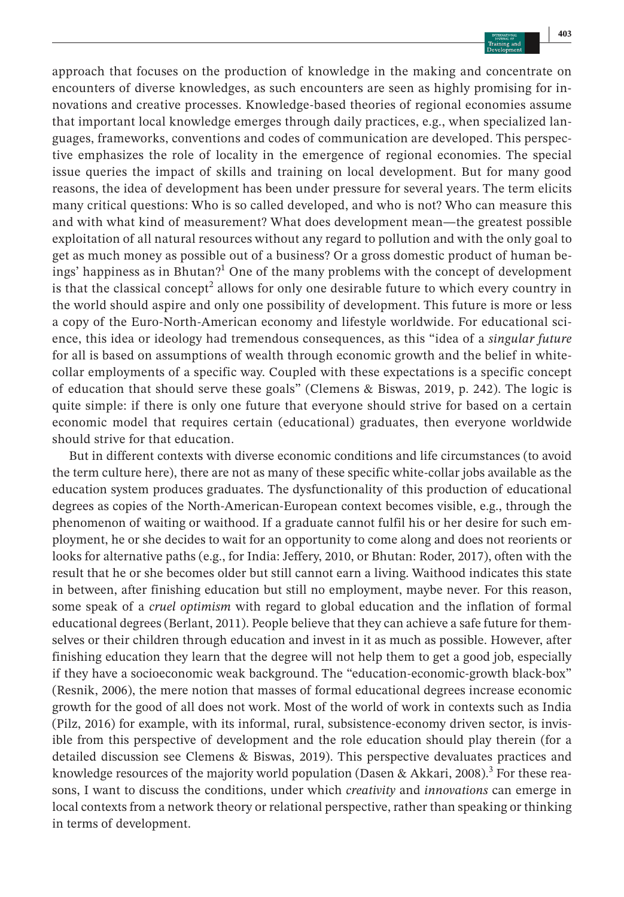approach that focuses on the production of knowledge in the making and concentrate on encounters of diverse knowledges, as such encounters are seen as highly promising for innovations and creative processes. Knowledge-based theories of regional economies assume that important local knowledge emerges through daily practices, e.g., when specialized languages, frameworks, conventions and codes of communication are developed. This perspective emphasizes the role of locality in the emergence of regional economies. The special issue queries the impact of skills and training on local development. But for many good reasons, the idea of development has been under pressure for several years. The term elicits many critical questions: Who is so called developed, and who is not? Who can measure this and with what kind of measurement? What does development mean—the greatest possible exploitation of all natural resources without any regard to pollution and with the only goal to get as much money as possible out of a business? Or a gross domestic product of human beings' happiness as in Bhutan?<sup>1</sup> One of the many problems with the concept of development is that the classical concept<sup>2</sup> allows for only one desirable future to which every country in the world should aspire and only one possibility of development. This future is more or less a copy of the Euro-North-American economy and lifestyle worldwide. For educational science, this idea or ideology had tremendous consequences, as this "idea of a *singular future* for all is based on assumptions of wealth through economic growth and the belief in whitecollar employments of a specific way. Coupled with these expectations is a specific concept of education that should serve these goals" (Clemens & Biswas, 2019, p. 242). The logic is quite simple: if there is only one future that everyone should strive for based on a certain economic model that requires certain (educational) graduates, then everyone worldwide should strive for that education.

But in different contexts with diverse economic conditions and life circumstances (to avoid the term culture here), there are not as many of these specific white-collar jobs available as the education system produces graduates. The dysfunctionality of this production of educational degrees as copies of the North-American-European context becomes visible, e.g., through the phenomenon of waiting or waithood. If a graduate cannot fulfil his or her desire for such employment, he or she decides to wait for an opportunity to come along and does not reorients or looks for alternative paths (e.g., for India: Jeffery, 2010, or Bhutan: Roder, 2017), often with the result that he or she becomes older but still cannot earn a living. Waithood indicates this state in between, after finishing education but still no employment, maybe never. For this reason, some speak of a *cruel optimism* with regard to global education and the inflation of formal educational degrees (Berlant, 2011). People believe that they can achieve a safe future for themselves or their children through education and invest in it as much as possible. However, after finishing education they learn that the degree will not help them to get a good job, especially if they have a socioeconomic weak background. The "education-economic-growth black-box" (Resnik, 2006), the mere notion that masses of formal educational degrees increase economic growth for the good of all does not work. Most of the world of work in contexts such as India (Pilz, 2016) for example, with its informal, rural, subsistence-economy driven sector, is invisible from this perspective of development and the role education should play therein (for a detailed discussion see Clemens & Biswas, 2019). This perspective devaluates practices and knowledge resources of the majority world population (Dasen & Akkari, 2008).<sup>3</sup> For these reasons, I want to discuss the conditions, under which *creativity* and *innovations* can emerge in local contexts from a network theory or relational perspective, rather than speaking or thinking in terms of development.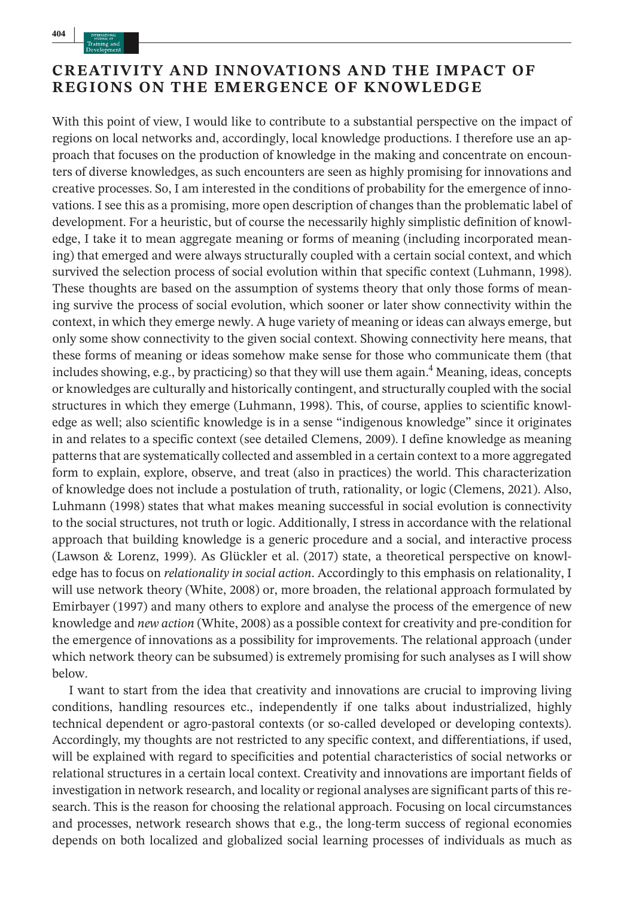# **CREATIVITY AND INNOVATIONS AND THE IMPACT OF REGIONS ON THE EMERGENCE OF KNOWLEDGE**

With this point of view, I would like to contribute to a substantial perspective on the impact of regions on local networks and, accordingly, local knowledge productions. I therefore use an approach that focuses on the production of knowledge in the making and concentrate on encounters of diverse knowledges, as such encounters are seen as highly promising for innovations and creative processes. So, I am interested in the conditions of probability for the emergence of innovations. I see this as a promising, more open description of changes than the problematic label of development. For a heuristic, but of course the necessarily highly simplistic definition of knowledge, I take it to mean aggregate meaning or forms of meaning (including incorporated meaning) that emerged and were always structurally coupled with a certain social context, and which survived the selection process of social evolution within that specific context (Luhmann, 1998). These thoughts are based on the assumption of systems theory that only those forms of meaning survive the process of social evolution, which sooner or later show connectivity within the context, in which they emerge newly. A huge variety of meaning or ideas can always emerge, but only some show connectivity to the given social context. Showing connectivity here means, that these forms of meaning or ideas somehow make sense for those who communicate them (that includes showing, e.g., by practicing) so that they will use them again.<sup>4</sup> Meaning, ideas, concepts or knowledges are culturally and historically contingent, and structurally coupled with the social structures in which they emerge (Luhmann, 1998). This, of course, applies to scientific knowledge as well; also scientific knowledge is in a sense "indigenous knowledge" since it originates in and relates to a specific context (see detailed Clemens, 2009). I define knowledge as meaning patternsthat are systematically collected and assembled in a certain context to a more aggregated form to explain, explore, observe, and treat (also in practices) the world. This characterization of knowledge does not include a postulation of truth, rationality, or logic (Clemens, 2021). Also, Luhmann (1998) states that what makes meaning successful in social evolution is connectivity to the social structures, not truth or logic. Additionally, I stress in accordance with the relational approach that building knowledge is a generic procedure and a social, and interactive process (Lawson & Lorenz, 1999). As Glückler et al. (2017) state, a theoretical perspective on knowledge has to focus on *relationality in social action*. Accordingly to this emphasis on relationality, I will use network theory (White, 2008) or, more broaden, the relational approach formulated by Emirbayer (1997) and many others to explore and analyse the process of the emergence of new knowledge and *new action* (White, 2008) as a possible context for creativity and pre-condition for the emergence of innovations as a possibility for improvements. The relational approach (under which network theory can be subsumed) is extremely promising for such analyses as I will show below.

I want to start from the idea that creativity and innovations are crucial to improving living conditions, handling resources etc., independently if one talks about industrialized, highly technical dependent or agro-pastoral contexts (or so-called developed or developing contexts). Accordingly, my thoughts are not restricted to any specific context, and differentiations, if used, will be explained with regard to specificities and potential characteristics of social networks or relational structures in a certain local context. Creativity and innovations are important fields of investigation in network research, and locality or regional analyses are significant parts of thisresearch. This is the reason for choosing the relational approach. Focusing on local circumstances and processes, network research shows that e.g., the long-term success of regional economies depends on both localized and globalized social learning processes of individuals as much as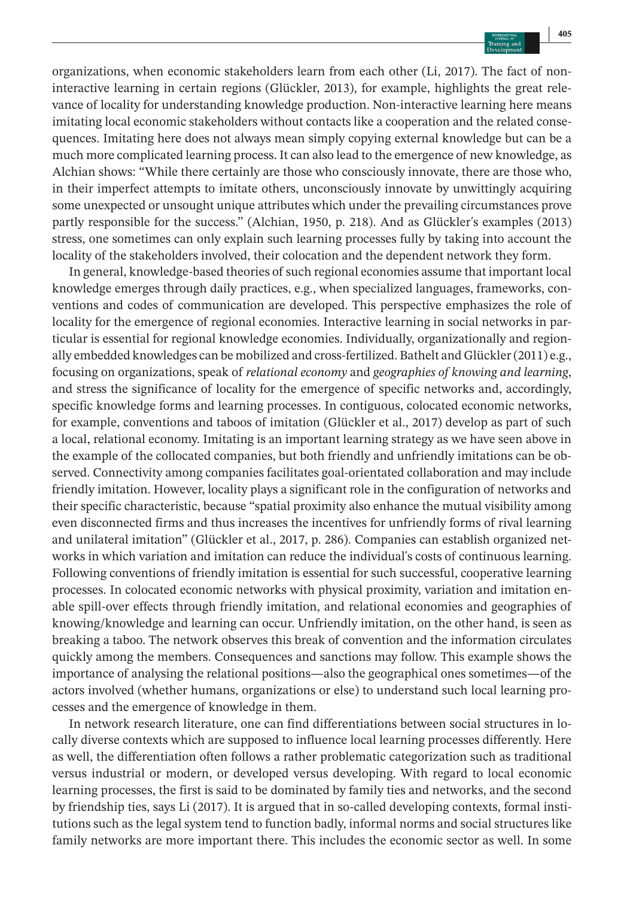organizations, when economic stakeholders learn from each other (Li, 2017). The fact of noninteractive learning in certain regions (Glückler, 2013), for example, highlights the great relevance of locality for understanding knowledge production. Non-interactive learning here means imitating local economic stakeholders without contacts like a cooperation and the related consequences. Imitating here does not always mean simply copying external knowledge but can be a much more complicated learning process. It can also lead to the emergence of new knowledge, as Alchian shows: "While there certainly are those who consciously innovate, there are those who, in their imperfect attempts to imitate others, unconsciously innovate by unwittingly acquiring some unexpected or unsought unique attributes which under the prevailing circumstances prove partly responsible for the success." (Alchian, 1950, p. 218). And as Glückler's examples (2013) stress, one sometimes can only explain such learning processes fully by taking into account the locality of the stakeholders involved, their colocation and the dependent network they form.

In general, knowledge-based theories of such regional economies assume that important local knowledge emerges through daily practices, e.g., when specialized languages, frameworks, conventions and codes of communication are developed. This perspective emphasizes the role of locality for the emergence of regional economies. Interactive learning in social networks in particular is essential for regional knowledge economies. Individually, organizationally and regionally embedded knowledges can be mobilized and cross-fertilized. Bathelt and Glückler(2011) e.g., focusing on organizations, speak of *relational economy* and *geographies of knowing and learning*, and stress the significance of locality for the emergence of specific networks and, accordingly, specific knowledge forms and learning processes. In contiguous, colocated economic networks, for example, conventions and taboos of imitation (Glückler et al., 2017) develop as part of such a local, relational economy. Imitating is an important learning strategy as we have seen above in the example of the collocated companies, but both friendly and unfriendly imitations can be observed. Connectivity among companies facilitates goal-orientated collaboration and may include friendly imitation. However, locality plays a significant role in the configuration of networks and their specific characteristic, because "spatial proximity also enhance the mutual visibility among even disconnected firms and thus increases the incentives for unfriendly forms of rival learning and unilateral imitation" (Glückler et al., 2017, p. 286). Companies can establish organized networks in which variation and imitation can reduce the individual's costs of continuous learning. Following conventions of friendly imitation is essential for such successful, cooperative learning processes. In colocated economic networks with physical proximity, variation and imitation enable spill-over effects through friendly imitation, and relational economies and geographies of knowing/knowledge and learning can occur. Unfriendly imitation, on the other hand, is seen as breaking a taboo. The network observes this break of convention and the information circulates quickly among the members. Consequences and sanctions may follow. This example shows the importance of analysing the relational positions—also the geographical ones sometimes—of the actors involved (whether humans, organizations or else) to understand such local learning processes and the emergence of knowledge in them.

In network research literature, one can find differentiations between social structures in locally diverse contexts which are supposed to influence local learning processes differently. Here as well, the differentiation often follows a rather problematic categorization such as traditional versus industrial or modern, or developed versus developing. With regard to local economic learning processes, the first is said to be dominated by family ties and networks, and the second by friendship ties, says Li (2017). It is argued that in so-called developing contexts, formal institutions such as the legal system tend to function badly, informal norms and social structures like family networks are more important there. This includes the economic sector as well. In some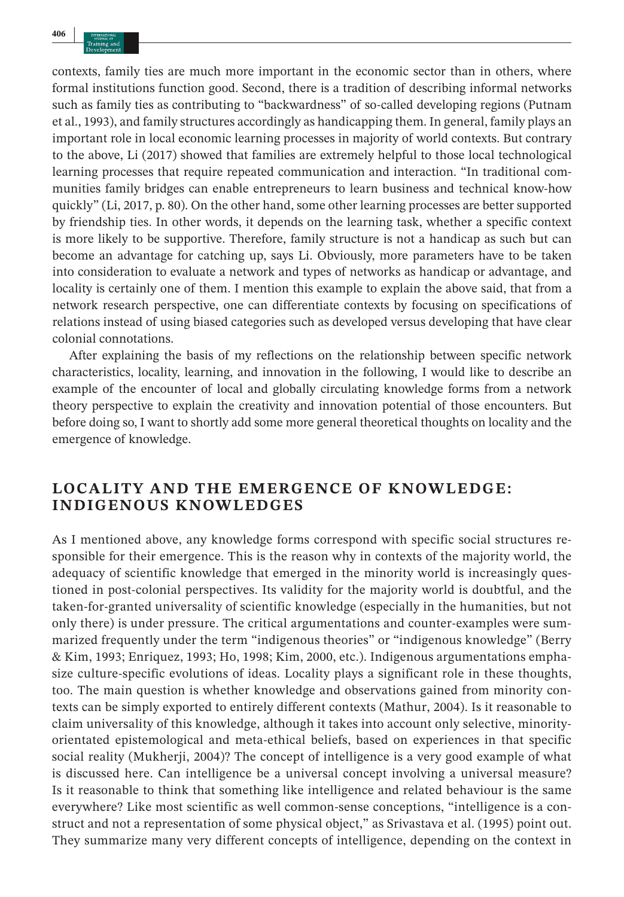contexts, family ties are much more important in the economic sector than in others, where formal institutions function good. Second, there is a tradition of describing informal networks such as family ties as contributing to "backwardness" of so-called developing regions (Putnam et al., 1993), and family structures accordingly as handicapping them. In general, family plays an important role in local economic learning processes in majority of world contexts. But contrary to the above, Li (2017) showed that families are extremely helpful to those local technological learning processes that require repeated communication and interaction. "In traditional communities family bridges can enable entrepreneurs to learn business and technical know-how quickly" (Li, 2017, p. 80). On the other hand, some other learning processes are better supported by friendship ties. In other words, it depends on the learning task, whether a specific context is more likely to be supportive. Therefore, family structure is not a handicap as such but can become an advantage for catching up, says Li. Obviously, more parameters have to be taken into consideration to evaluate a network and types of networks as handicap or advantage, and locality is certainly one of them. I mention this example to explain the above said, that from a network research perspective, one can differentiate contexts by focusing on specifications of relations instead of using biased categories such as developed versus developing that have clear colonial connotations.

After explaining the basis of my reflections on the relationship between specific network characteristics, locality, learning, and innovation in the following, I would like to describe an example of the encounter of local and globally circulating knowledge forms from a network theory perspective to explain the creativity and innovation potential of those encounters. But before doing so, I want to shortly add some more general theoretical thoughts on locality and the emergence of knowledge.

# **LOCALITY AND THE EMERGENCE OF KNOWLEDGE: INDIGENOUS KNOWLEDGES**

As I mentioned above, any knowledge forms correspond with specific social structures responsible for their emergence. This is the reason why in contexts of the majority world, the adequacy of scientific knowledge that emerged in the minority world is increasingly questioned in post-colonial perspectives. Its validity for the majority world is doubtful, and the taken-for-granted universality of scientific knowledge (especially in the humanities, but not only there) is under pressure. The critical argumentations and counter-examples were summarized frequently under the term "indigenous theories" or "indigenous knowledge" (Berry & Kim, 1993; Enriquez, 1993; Ho, 1998; Kim, 2000, etc.). Indigenous argumentations emphasize culture-specific evolutions of ideas. Locality plays a significant role in these thoughts, too. The main question is whether knowledge and observations gained from minority contexts can be simply exported to entirely different contexts (Mathur, 2004). Is it reasonable to claim universality of this knowledge, although it takes into account only selective, minorityorientated epistemological and meta-ethical beliefs, based on experiences in that specific social reality (Mukherji, 2004)? The concept of intelligence is a very good example of what is discussed here. Can intelligence be a universal concept involving a universal measure? Is it reasonable to think that something like intelligence and related behaviour is the same everywhere? Like most scientific as well common-sense conceptions, "intelligence is a construct and not a representation of some physical object," as Srivastava et al. (1995) point out. They summarize many very different concepts of intelligence, depending on the context in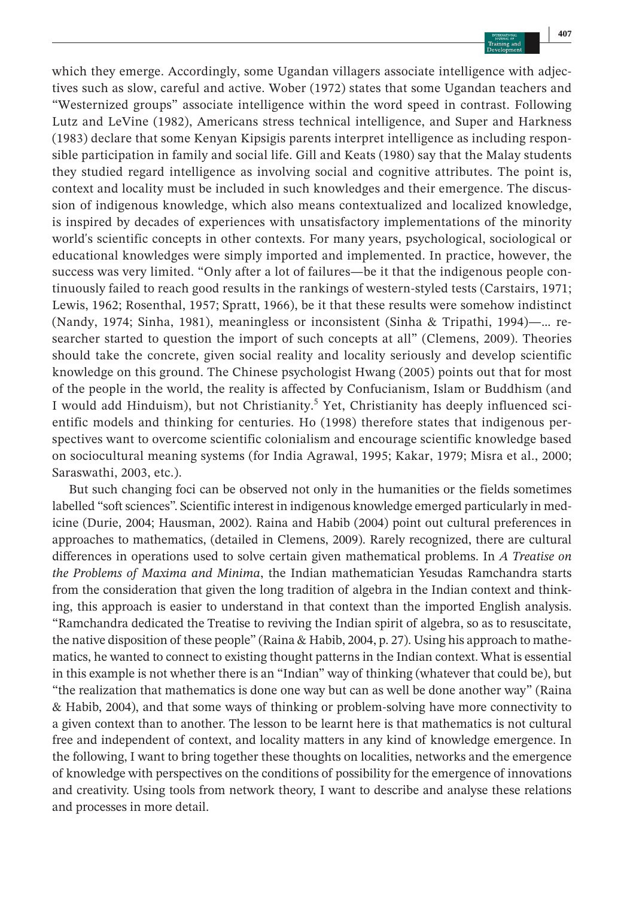which they emerge. Accordingly, some Ugandan villagers associate intelligence with adjectives such as slow, careful and active. Wober (1972) states that some Ugandan teachers and "Westernized groups" associate intelligence within the word speed in contrast. Following Lutz and LeVine (1982), Americans stress technical intelligence, and Super and Harkness (1983) declare that some Kenyan Kipsigis parents interpret intelligence as including responsible participation in family and social life. Gill and Keats (1980) say that the Malay students they studied regard intelligence as involving social and cognitive attributes. The point is, context and locality must be included in such knowledges and their emergence. The discussion of indigenous knowledge, which also means contextualized and localized knowledge, is inspired by decades of experiences with unsatisfactory implementations of the minority world's scientific concepts in other contexts. For many years, psychological, sociological or educational knowledges were simply imported and implemented. In practice, however, the success was very limited. "Only after a lot of failures—be it that the indigenous people continuously failed to reach good results in the rankings of western-styled tests (Carstairs, 1971; Lewis, 1962; Rosenthal, 1957; Spratt, 1966), be it that these results were somehow indistinct (Nandy, 1974; Sinha, 1981), meaningless or inconsistent (Sinha & Tripathi, 1994)—… researcher started to question the import of such concepts at all" (Clemens, 2009). Theories should take the concrete, given social reality and locality seriously and develop scientific knowledge on this ground. The Chinese psychologist Hwang (2005) points out that for most of the people in the world, the reality is affected by Confucianism, Islam or Buddhism (and I would add Hinduism), but not Christianity.<sup>5</sup> Yet, Christianity has deeply influenced scientific models and thinking for centuries. Ho (1998) therefore states that indigenous perspectives want to overcome scientific colonialism and encourage scientific knowledge based on sociocultural meaning systems (for India Agrawal, 1995; Kakar, 1979; Misra et al., 2000; Saraswathi, 2003, etc.).

But such changing foci can be observed not only in the humanities or the fields sometimes labelled "soft sciences". Scientific interest in indigenous knowledge emerged particularly in medicine (Durie, 2004; Hausman, 2002). Raina and Habib (2004) point out cultural preferences in approaches to mathematics, (detailed in Clemens, 2009). Rarely recognized, there are cultural differences in operations used to solve certain given mathematical problems. In *A Treatise on the Problems of Maxima and Minima*, the Indian mathematician Yesudas Ramchandra starts from the consideration that given the long tradition of algebra in the Indian context and thinking, this approach is easier to understand in that context than the imported English analysis. "Ramchandra dedicated the Treatise to reviving the Indian spirit of algebra, so as to resuscitate' the native disposition of these people" (Raina & Habib, 2004, p. 27). Using his approach to mathematics, he wanted to connect to existing thought patterns in the Indian context. What is essential in this example is not whether there is an "Indian" way of thinking (whatever that could be), but "the realization that mathematics is done one way but can as well be done another way" (Raina & Habib, 2004), and that some ways of thinking or problem-solving have more connectivity to a given context than to another. The lesson to be learnt here is that mathematics is not cultural free and independent of context, and locality matters in any kind of knowledge emergence. In the following, I want to bring together these thoughts on localities, networks and the emergence of knowledge with perspectives on the conditions of possibility for the emergence of innovations and creativity. Using tools from network theory, I want to describe and analyse these relations and processes in more detail.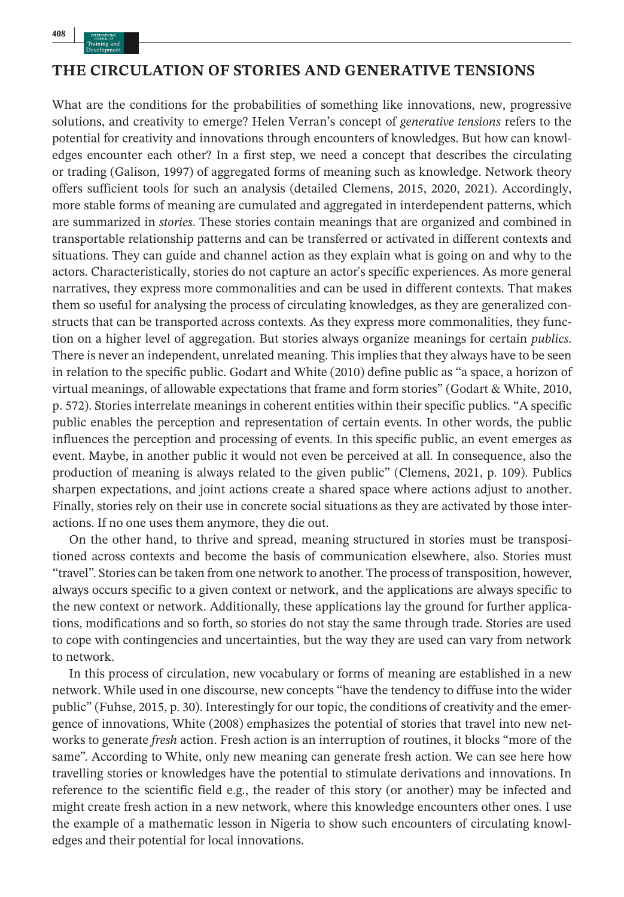## **THE CIRCULATION OF STORIES AND GENERATIVE TENSIONS**

What are the conditions for the probabilities of something like innovations, new, progressive solutions, and creativity to emerge? Helen Verran's concept of *generative tensions* refers to the potential for creativity and innovations through encounters of knowledges. But how can knowledges encounter each other? In a first step, we need a concept that describes the circulating or trading (Galison, 1997) of aggregated forms of meaning such as knowledge. Network theory offers sufficient tools for such an analysis (detailed Clemens, 2015, 2020, 2021). Accordingly, more stable forms of meaning are cumulated and aggregated in interdependent patterns, which are summarized in *stories*. These stories contain meanings that are organized and combined in transportable relationship patterns and can be transferred or activated in different contexts and situations. They can guide and channel action as they explain what is going on and why to the actors. Characteristically, stories do not capture an actor's specific experiences. As more general narratives, they express more commonalities and can be used in different contexts. That makes them so useful for analysing the process of circulating knowledges, as they are generalized constructs that can be transported across contexts. As they express more commonalities, they function on a higher level of aggregation. But stories always organize meanings for certain *publics*. There is never an independent, unrelated meaning. This implies that they always have to be seen in relation to the specific public. Godart and White (2010) define public as "a space, a horizon of virtual meanings, of allowable expectations that frame and form stories" (Godart & White, 2010, p. 572). Stories interrelate meanings in coherent entities within their specific publics. "A specific public enables the perception and representation of certain events. In other words, the public influences the perception and processing of events. In this specific public, an event emerges as event. Maybe, in another public it would not even be perceived at all. In consequence, also the production of meaning is always related to the given public" (Clemens, 2021, p. 109). Publics sharpen expectations, and joint actions create a shared space where actions adjust to another. Finally, stories rely on their use in concrete social situations as they are activated by those interactions. If no one uses them anymore, they die out.

On the other hand, to thrive and spread, meaning structured in stories must be transpositioned across contexts and become the basis of communication elsewhere, also. Stories must "travel". Stories can be taken from one network to another. The process of transposition, however, always occurs specific to a given context or network, and the applications are always specific to the new context or network. Additionally, these applications lay the ground for further applications, modifications and so forth, so stories do not stay the same through trade. Stories are used to cope with contingencies and uncertainties, but the way they are used can vary from network to network.

In this process of circulation, new vocabulary or forms of meaning are established in a new network. While used in one discourse, new concepts "have the tendency to diffuse into the wider public" (Fuhse, 2015, p. 30). Interestingly for our topic, the conditions of creativity and the emergence of innovations, White (2008) emphasizes the potential of stories that travel into new networks to generate *fresh* action. Fresh action is an interruption of routines, it blocks "more of the same". According to White, only new meaning can generate fresh action. We can see here how travelling stories or knowledges have the potential to stimulate derivations and innovations. In reference to the scientific field e.g., the reader of this story (or another) may be infected and might create fresh action in a new network, where this knowledge encounters other ones. I use the example of a mathematic lesson in Nigeria to show such encounters of circulating knowledges and their potential for local innovations.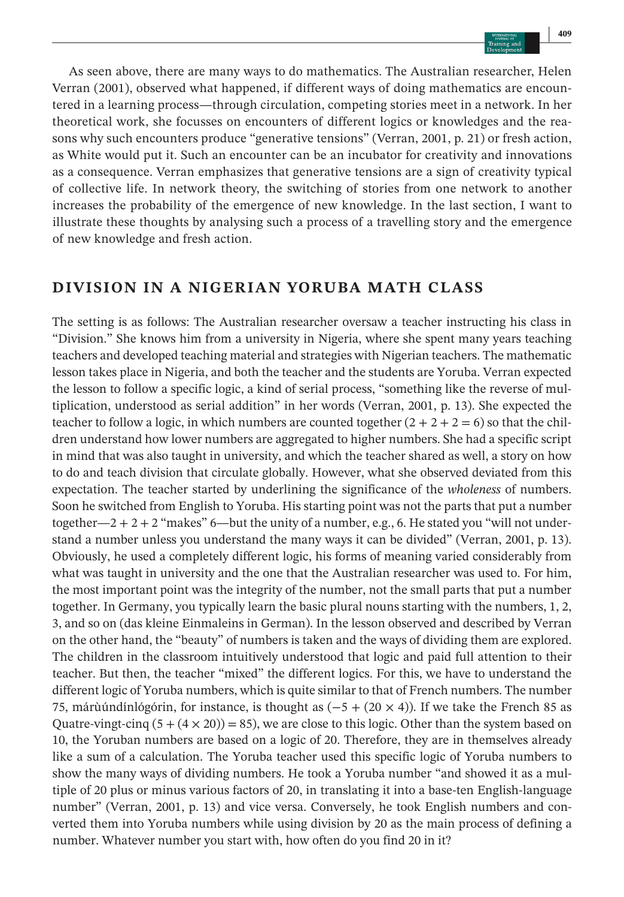As seen above, there are many ways to do mathematics. The Australian researcher, Helen Verran (2001), observed what happened, if different ways of doing mathematics are encountered in a learning process—through circulation, competing stories meet in a network. In her theoretical work, she focusses on encounters of different logics or knowledges and the reasons why such encounters produce "generative tensions" (Verran, 2001, p. 21) or fresh action, as White would put it. Such an encounter can be an incubator for creativity and innovations as a consequence. Verran emphasizes that generative tensions are a sign of creativity typical of collective life. In network theory, the switching of stories from one network to another increases the probability of the emergence of new knowledge. In the last section, I want to illustrate these thoughts by analysing such a process of a travelling story and the emergence of new knowledge and fresh action.

# **DIVISION IN A NIGERIAN YORUBA MATH CLASS**

The setting is as follows: The Australian researcher oversaw a teacher instructing his class in "Division." She knows him from a university in Nigeria, where she spent many years teaching teachers and developed teaching material and strategies with Nigerian teachers. The mathematic lesson takes place in Nigeria, and both the teacher and the students are Yoruba. Verran expected the lesson to follow a specific logic, a kind of serial process, "something like the reverse of multiplication, understood as serial addition" in her words (Verran, 2001, p. 13). She expected the teacher to follow a logic, in which numbers are counted together  $(2 + 2 + 2 = 6)$  so that the children understand how lower numbers are aggregated to higher numbers. She had a specific script in mind that was also taught in university, and which the teacher shared as well, a story on how to do and teach division that circulate globally. However, what she observed deviated from this expectation. The teacher started by underlining the significance of the *wholeness* of numbers. Soon he switched from English to Yoruba. His starting point was not the parts that put a number together—2 + 2 + 2 "makes" 6—but the unity of a number, e.g., 6. He stated you "will not understand a number unless you understand the many ways it can be divided" (Verran, 2001, p. 13). Obviously, he used a completely different logic, his forms of meaning varied considerably from what was taught in university and the one that the Australian researcher was used to. For him, the most important point was the integrity of the number, not the small parts that put a number together. In Germany, you typically learn the basic plural nouns starting with the numbers, 1, 2, 3, and so on (das kleine Einmaleins in German). In the lesson observed and described by Verran on the other hand, the "beauty" of numbers is taken and the ways of dividing them are explored. The children in the classroom intuitively understood that logic and paid full attention to their teacher. But then, the teacher "mixed" the different logics. For this, we have to understand the different logic of Yoruba numbers, which is quite similar to that of French numbers. The number 75, márùúndínlógórin, for instance, is thought as  $(-5 + (20 \times 4))$ . If we take the French 85 as Quatre-vingt-cinq  $(5 + (4 \times 20)) = 85$ , we are close to this logic. Other than the system based on 10, the Yoruban numbers are based on a logic of 20. Therefore, they are in themselves already like a sum of a calculation. The Yoruba teacher used this specific logic of Yoruba numbers to show the many ways of dividing numbers. He took a Yoruba number "and showed it as a multiple of 20 plus or minus various factors of 20, in translating it into a base-ten English-language number" (Verran, 2001, p. 13) and vice versa. Conversely, he took English numbers and converted them into Yoruba numbers while using division by 20 as the main process of defining a number. Whatever number you start with, how often do you find 20 in it?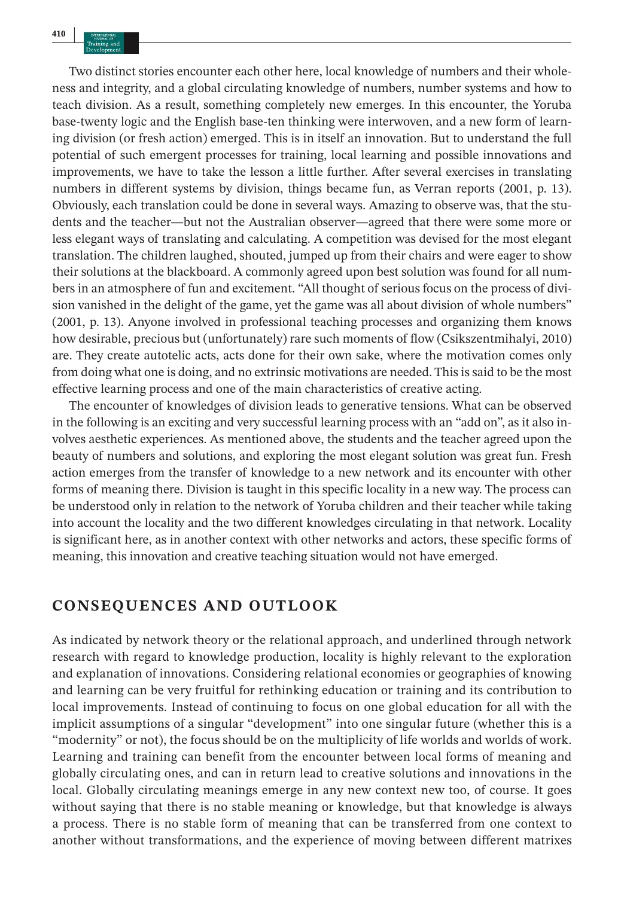Two distinct stories encounter each other here, local knowledge of numbers and their wholeness and integrity, and a global circulating knowledge of numbers, number systems and how to teach division. As a result, something completely new emerges. In this encounter, the Yoruba base-twenty logic and the English base-ten thinking were interwoven, and a new form of learning division (or fresh action) emerged. This is in itself an innovation. But to understand the full potential of such emergent processes for training, local learning and possible innovations and improvements, we have to take the lesson a little further. After several exercises in translating numbers in different systems by division, things became fun, as Verran reports (2001, p. 13). Obviously, each translation could be done in several ways. Amazing to observe was, that the students and the teacher—but not the Australian observer—agreed that there were some more or less elegant ways of translating and calculating. A competition was devised for the most elegant translation. The children laughed, shouted, jumped up from their chairs and were eager to show their solutions at the blackboard. A commonly agreed upon best solution was found for all numbers in an atmosphere of fun and excitement. "All thought of serious focus on the process of division vanished in the delight of the game, yet the game was all about division of whole numbers" (2001, p. 13). Anyone involved in professional teaching processes and organizing them knows how desirable, precious but (unfortunately) rare such moments of flow (Csikszentmihalyi, 2010) are. They create autotelic acts, acts done for their own sake, where the motivation comes only from doing what one is doing, and no extrinsic motivations are needed. This is said to be the most effective learning process and one of the main characteristics of creative acting.

The encounter of knowledges of division leads to generative tensions. What can be observed in the following is an exciting and very successful learning process with an "add on", as it also involves aesthetic experiences. As mentioned above, the students and the teacher agreed upon the beauty of numbers and solutions, and exploring the most elegant solution was great fun. Fresh action emerges from the transfer of knowledge to a new network and its encounter with other forms of meaning there. Division is taught in this specific locality in a new way. The process can be understood only in relation to the network of Yoruba children and their teacher while taking into account the locality and the two different knowledges circulating in that network. Locality is significant here, as in another context with other networks and actors, these specific forms of meaning, this innovation and creative teaching situation would not have emerged.

# **CONSEQUENCES AND OUTLOOK**

As indicated by network theory or the relational approach, and underlined through network research with regard to knowledge production, locality is highly relevant to the exploration and explanation of innovations. Considering relational economies or geographies of knowing and learning can be very fruitful for rethinking education or training and its contribution to local improvements. Instead of continuing to focus on one global education for all with the implicit assumptions of a singular "development" into one singular future (whether this is a "modernity" or not), the focus should be on the multiplicity of life worlds and worlds of work. Learning and training can benefit from the encounter between local forms of meaning and globally circulating ones, and can in return lead to creative solutions and innovations in the local. Globally circulating meanings emerge in any new context new too, of course. It goes without saying that there is no stable meaning or knowledge, but that knowledge is always a process. There is no stable form of meaning that can be transferred from one context to another without transformations, and the experience of moving between different matrixes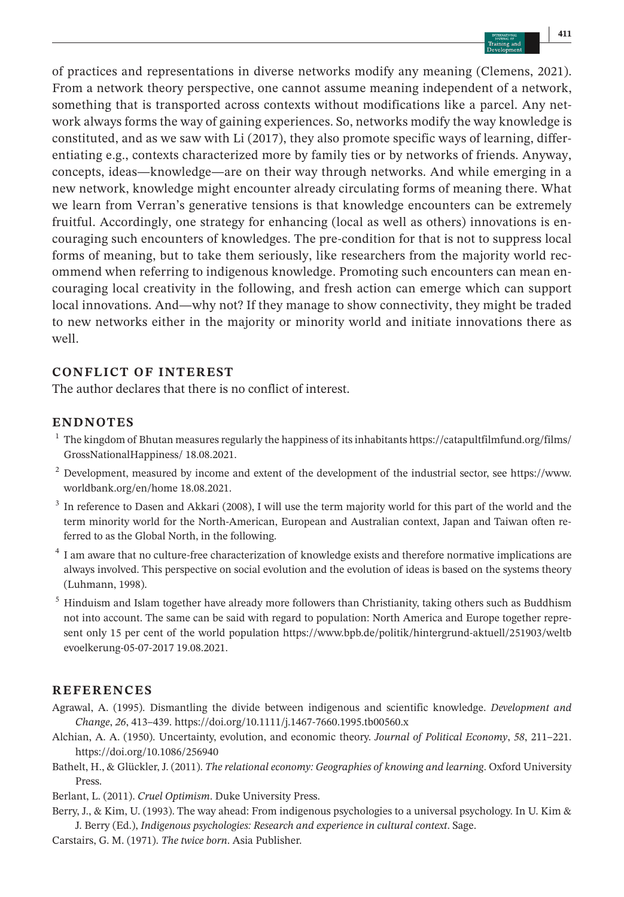of practices and representations in diverse networks modify any meaning (Clemens, 2021). From a network theory perspective, one cannot assume meaning independent of a network, something that is transported across contexts without modifications like a parcel. Any network always forms the way of gaining experiences. So, networks modify the way knowledge is constituted, and as we saw with Li (2017), they also promote specific ways of learning, differentiating e.g., contexts characterized more by family ties or by networks of friends. Anyway, concepts, ideas—knowledge—are on their way through networks. And while emerging in a new network, knowledge might encounter already circulating forms of meaning there. What we learn from Verran's generative tensions is that knowledge encounters can be extremely fruitful. Accordingly, one strategy for enhancing (local as well as others) innovations is encouraging such encounters of knowledges. The pre-condition for that is not to suppress local forms of meaning, but to take them seriously, like researchers from the majority world recommend when referring to indigenous knowledge. Promoting such encounters can mean encouraging local creativity in the following, and fresh action can emerge which can support local innovations. And—why not? If they manage to show connectivity, they might be traded to new networks either in the majority or minority world and initiate innovations there as well.

#### **CONFLICT OF INTEREST**

The author declares that there is no conflict of interest.

#### **ENDNOTES**

- <sup>1</sup> The kingdom of Bhutan measures regularly the happiness of its inhabitants [https://catapultfilmfund.org/films/](https://catapultfilmfund.org/films/GrossNationalHappiness/) [GrossNationalHappiness/](https://catapultfilmfund.org/films/GrossNationalHappiness/) 18.08.2021.
- $2$  Development, measured by income and extent of the development of the industrial sector, see [https://www.](https://www.worldbank.org/en/home) [worldbank.org/en/home](https://www.worldbank.org/en/home) 18.08.2021.
- <sup>3</sup> In reference to Dasen and Akkari (2008), I will use the term majority world for this part of the world and the term minority world for the North-American, European and Australian context, Japan and Taiwan often referred to as the Global North, in the following.
- <sup>4</sup> I am aware that no culture-free characterization of knowledge exists and therefore normative implications are always involved. This perspective on social evolution and the evolution of ideas is based on the systems theory (Luhmann, 1998).
- <sup>5</sup> Hinduism and Islam together have already more followers than Christianity, taking others such as Buddhism not into account. The same can be said with regard to population: North America and Europe together represent only 15 per cent of the world population [https://www.bpb.de/politik/hintergrund-aktuell/251903/weltb](https://www.bpb.de/politik/hintergrund-aktuell/251903/weltbevoelkerung-05-07-2017) [evoelkerung-05-07-2017](https://www.bpb.de/politik/hintergrund-aktuell/251903/weltbevoelkerung-05-07-2017) 19.08.2021.

### **REFERENCES**

- Agrawal, A. (1995). Dismantling the divide between indigenous and scientific knowledge. *Development and Change*, *26*, 413–439. <https://doi.org/10.1111/j.1467-7660.1995.tb00560.x>
- Alchian, A. A. (1950). Uncertainty, evolution, and economic theory. *Journal of Political Economy*, *58*, 211–221. <https://doi.org/10.1086/256940>
- Bathelt, H., & Glückler, J. (2011). *The relational economy: Geographies of knowing and learning*. Oxford University **Press**
- Berlant, L. (2011). *Cruel Optimism*. Duke University Press.
- Berry, J., & Kim, U. (1993). The way ahead: From indigenous psychologies to a universal psychology. In U. Kim & J. Berry (Ed.), *Indigenous psychologies: Research and experience in cultural context*. Sage.
- Carstairs, G. M. (1971). *The twice born*. Asia Publisher.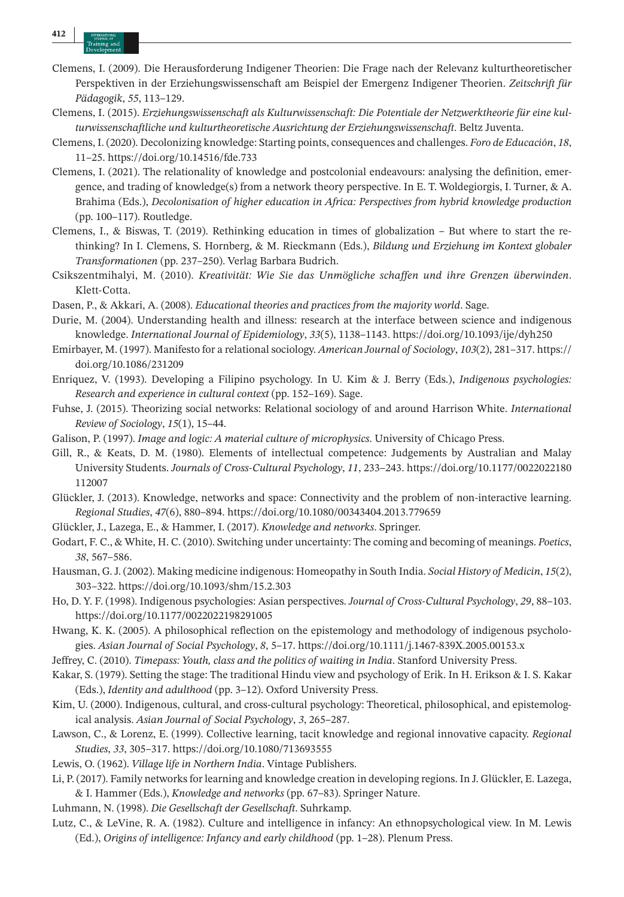- Clemens, I. (2009). Die Herausforderung Indigener Theorien: Die Frage nach der Relevanz kulturtheoretischer Perspektiven in der Erziehungswissenschaft am Beispiel der Emergenz Indigener Theorien. *Zeitschrift für Pädagogik*, *55*, 113–129.
- Clemens, I. (2015). *Erziehungswissenschaft als Kulturwissenschaft: Die Potentiale der Netzwerktheorie für eine kulturwissenschaftliche und kulturtheoretische Ausrichtung der Erziehungswissenschaft*. Beltz Juventa.
- Clemens, I. (2020). Decolonizing knowledge: Starting points, consequences and challenges. *Foro de Educación*, *18*, 11–25. <https://doi.org/10.14516/fde.733>
- Clemens, I. (2021). The relationality of knowledge and postcolonial endeavours: analysing the definition, emergence, and trading of knowledge(s) from a network theory perspective. In E. T. Woldegiorgis, I. Turner, & A. Brahima (Eds.), *Decolonisation of higher education in Africa: Perspectives from hybrid knowledge production* (pp. 100–117). Routledge.
- Clemens, I., & Biswas, T. (2019). Rethinking education in times of globalization But where to start the rethinking? In I. Clemens, S. Hornberg, & M. Rieckmann (Eds.), *Bildung und Erziehung im Kontext globaler Transformationen* (pp. 237–250). Verlag Barbara Budrich.
- Csikszentmihalyi, M. (2010). *Kreativität: Wie Sie das Unmögliche schaffen und ihre Grenzen überwinden*. Klett-Cotta.
- Dasen, P., & Akkari, A. (2008). *Educational theories and practices from the majority world*. Sage.
- Durie, M. (2004). Understanding health and illness: research at the interface between science and indigenous knowledge. *International Journal of Epidemiology*, *33*(5), 1138–1143. <https://doi.org/10.1093/ije/dyh250>
- Emirbayer, M. (1997). Manifesto for a relational sociology. *American Journal of Sociology*, *103*(2), 281–317. [https://](https://doi.org/10.1086/231209) [doi.org/10.1086/231209](https://doi.org/10.1086/231209)
- Enriquez, V. (1993). Developing a Filipino psychology. In U. Kim & J. Berry (Eds.), *Indigenous psychologies: Research and experience in cultural context* (pp. 152–169). Sage.
- Fuhse, J. (2015). Theorizing social networks: Relational sociology of and around Harrison White. *International Review of Sociology*, *15*(1), 15–44.
- Galison, P. (1997). *Image and logic: A material culture of microphysics*. University of Chicago Press.
- Gill, R., & Keats, D. M. (1980). Elements of intellectual competence: Judgements by Australian and Malay University Students. *Journals of Cross-Cultural Psychology*, *11*, 233–243. [https://doi.org/10.1177/0022022180](https://doi.org/10.1177/0022022180112007) [112007](https://doi.org/10.1177/0022022180112007)
- Glückler, J. (2013). Knowledge, networks and space: Connectivity and the problem of non-interactive learning. *Regional Studies*, *47*(6), 880–894. <https://doi.org/10.1080/00343404.2013.779659>
- Glückler, J., Lazega, E., & Hammer, I. (2017). *Knowledge and networks*. Springer.
- Godart, F. C., & White, H. C. (2010). Switching under uncertainty: The coming and becoming of meanings. *Poetics*, *38*, 567–586.
- Hausman, G.J. (2002). Making medicine indigenous: Homeopathy in South India. *Social History of Medicin*, *15*(2), 303–322. <https://doi.org/10.1093/shm/15.2.303>
- Ho, D. Y. F. (1998). Indigenous psychologies: Asian perspectives. *Journal of Cross-Cultural Psychology*, *29*, 88–103. <https://doi.org/10.1177/0022022198291005>
- Hwang, K. K. (2005). A philosophical reflection on the epistemology and methodology of indigenous psychologies. *Asian Journal of Social Psychology*, *8*, 5–17. <https://doi.org/10.1111/j.1467-839X.2005.00153.x>
- Jeffrey, C. (2010). *Timepass: Youth, class and the politics of waiting in India*. Stanford University Press.
- Kakar, S. (1979). Setting the stage: The traditional Hindu view and psychology of Erik. In H. Erikson & I. S. Kakar (Eds.), *Identity and adulthood* (pp. 3–12). Oxford University Press.
- Kim, U. (2000). Indigenous, cultural, and cross-cultural psychology: Theoretical, philosophical, and epistemological analysis. *Asian Journal of Social Psychology*, *3*, 265–287.
- Lawson, C., & Lorenz, E. (1999). Collective learning, tacit knowledge and regional innovative capacity. *Regional Studies*, *33*, 305–317. <https://doi.org/10.1080/713693555>
- Lewis, O. (1962). *Village life in Northern India*. Vintage Publishers.
- Li, P. (2017). Family networks for learning and knowledge creation in developing regions. In J. Glückler, E. Lazega, & I. Hammer (Eds.), *Knowledge and networks* (pp. 67–83). Springer Nature.
- Luhmann, N. (1998). *Die Gesellschaft der Gesellschaft*. Suhrkamp.
- Lutz, C., & LeVine, R. A. (1982). Culture and intelligence in infancy: An ethnopsychological view. In M. Lewis (Ed.), *Origins of intelligence: Infancy and early childhood* (pp. 1–28). Plenum Press.